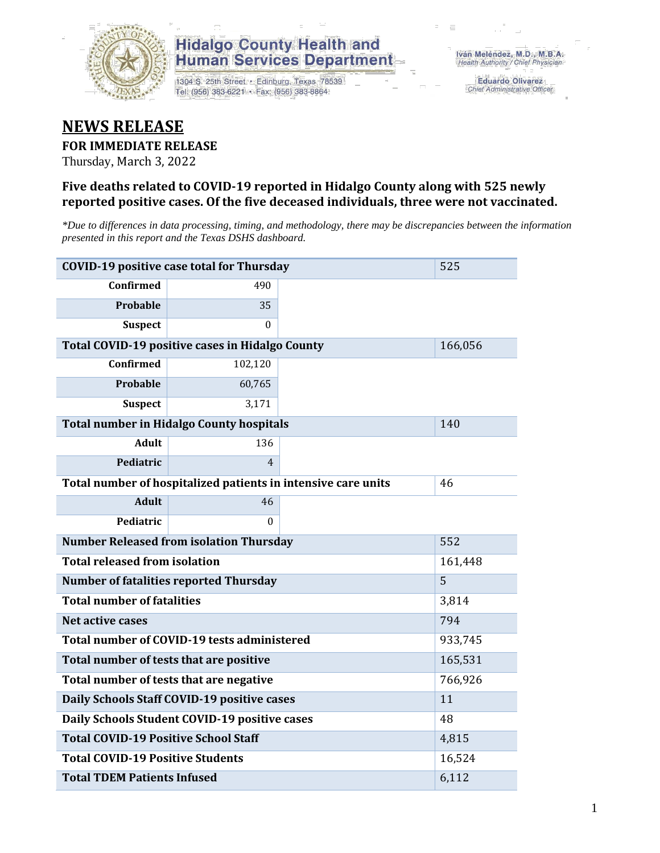

1304 S. 25th Street · Edinburg, Texas 78539 Tel: (956) 383-6221 · Fax: (956) 383-8864

**Eduardo Olivarez** Chief Administrative Officer

### **NEWS RELEASE**

#### **FOR IMMEDIATE RELEASE**

Thursday, March 3, 2022

#### **Five deaths related to COVID-19 reported in Hidalgo County along with 525 newly reported positive cases. Of the five deceased individuals, three were not vaccinated.**

*\*Due to differences in data processing, timing, and methodology, there may be discrepancies between the information presented in this report and the Texas DSHS dashboard.*

| <b>COVID-19 positive case total for Thursday</b><br>525       |                                                 |         |         |  |  |  |  |
|---------------------------------------------------------------|-------------------------------------------------|---------|---------|--|--|--|--|
| <b>Confirmed</b>                                              | 490                                             |         |         |  |  |  |  |
| Probable                                                      | 35                                              |         |         |  |  |  |  |
| <b>Suspect</b>                                                | $\Omega$                                        |         |         |  |  |  |  |
| Total COVID-19 positive cases in Hidalgo County               |                                                 | 166,056 |         |  |  |  |  |
| Confirmed                                                     | 102,120                                         |         |         |  |  |  |  |
| <b>Probable</b>                                               | 60,765                                          |         |         |  |  |  |  |
| <b>Suspect</b>                                                | 3,171                                           |         |         |  |  |  |  |
|                                                               | <b>Total number in Hidalgo County hospitals</b> |         | 140     |  |  |  |  |
| <b>Adult</b>                                                  | 136                                             |         |         |  |  |  |  |
| Pediatric                                                     | $\overline{4}$                                  |         |         |  |  |  |  |
| Total number of hospitalized patients in intensive care units | 46                                              |         |         |  |  |  |  |
| <b>Adult</b>                                                  | 46                                              |         |         |  |  |  |  |
| Pediatric                                                     | 0                                               |         |         |  |  |  |  |
| <b>Number Released from isolation Thursday</b><br>552         |                                                 |         |         |  |  |  |  |
| <b>Total released from isolation</b>                          |                                                 | 161,448 |         |  |  |  |  |
|                                                               | <b>Number of fatalities reported Thursday</b>   |         | 5       |  |  |  |  |
| <b>Total number of fatalities</b>                             |                                                 |         | 3,814   |  |  |  |  |
| Net active cases                                              |                                                 |         | 794     |  |  |  |  |
|                                                               | Total number of COVID-19 tests administered     |         | 933,745 |  |  |  |  |
| Total number of tests that are positive                       |                                                 |         | 165,531 |  |  |  |  |
| Total number of tests that are negative                       |                                                 |         | 766,926 |  |  |  |  |
|                                                               | Daily Schools Staff COVID-19 positive cases     |         | 11      |  |  |  |  |
| Daily Schools Student COVID-19 positive cases                 |                                                 | 48      |         |  |  |  |  |
| <b>Total COVID-19 Positive School Staff</b>                   |                                                 | 4,815   |         |  |  |  |  |
| <b>Total COVID-19 Positive Students</b>                       |                                                 |         | 16,524  |  |  |  |  |
| <b>Total TDEM Patients Infused</b>                            | 6,112                                           |         |         |  |  |  |  |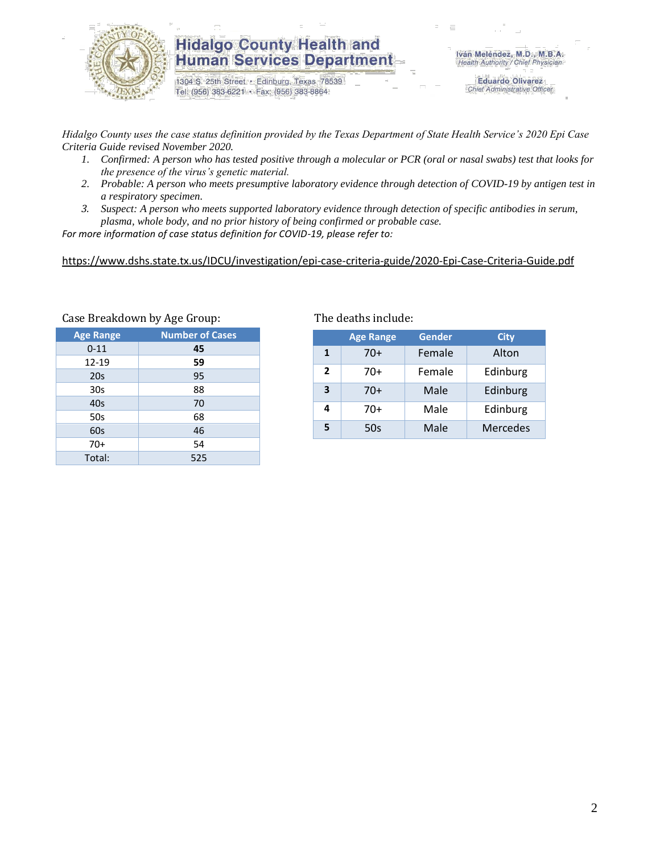

1304 S. 25th Street · Edinburg, Texas 78539 Tel: (956) 383-6221 · Fax: (956) 383-8864

**Eduardo Olivarez** Chief Administrative Officer

*Hidalgo County uses the case status definition provided by the Texas Department of State Health Service's 2020 Epi Case Criteria Guide revised November 2020.*

- *1. Confirmed: A person who has tested positive through a molecular or PCR (oral or nasal swabs) test that looks for the presence of the virus's genetic material.*
- *2. Probable: A person who meets presumptive laboratory evidence through detection of COVID-19 by antigen test in a respiratory specimen.*
- *3. Suspect: A person who meets supported laboratory evidence through detection of specific antibodies in serum, plasma, whole body, and no prior history of being confirmed or probable case.*

*For more information of case status definition for COVID-19, please refer to:*

<https://www.dshs.state.tx.us/IDCU/investigation/epi-case-criteria-guide/2020-Epi-Case-Criteria-Guide.pdf>

| <b>Age Range</b> | <b>Number of Cases</b> |
|------------------|------------------------|
| $0 - 11$         | 45                     |
| 12-19            | 59                     |
| 20s              | 95                     |
| 30 <sub>s</sub>  | 88                     |
| 40s              | 70                     |
| 50s              | 68                     |
| 60s              | 46                     |
| $70+$            | 54                     |
| Total:           | 525                    |
|                  |                        |

### Case Breakdown by Age Group: The deaths include:

|                | <b>Age Range</b> | <b>Gender</b> | <b>City</b>     |
|----------------|------------------|---------------|-----------------|
| $\mathbf{1}$   | $70+$            | Female        | Alton           |
| $\overline{2}$ | 70+              | Female        | Edinburg        |
| 3              | $70+$            | Male          | Edinburg        |
| 4              | 70+              | Male          | Edinburg        |
| 5              | 50s              | Male          | <b>Mercedes</b> |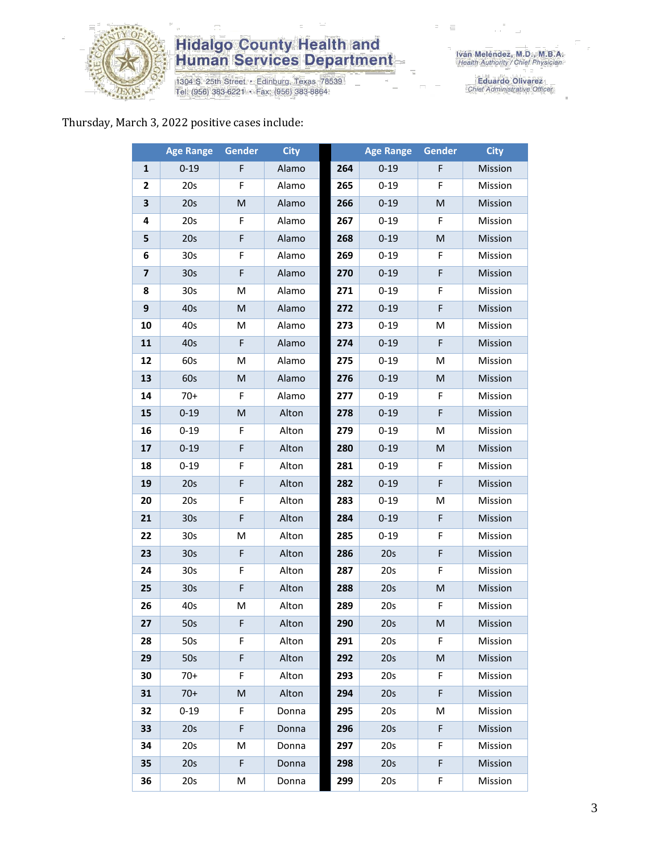

1304 S. 25th Street • Edinburg, Texas 78539<br>Tel: (956) 383-6221 • Fax: (956) 383-8864

Eduardo Olivarez<br>Chief Administrative Officer

#### Thursday, March 3, 2022 positive cases include:

|              | <b>Age Range</b> | <b>Gender</b> | <b>City</b> |     | <b>Age Range</b> | <b>Gender</b> | <b>City</b> |
|--------------|------------------|---------------|-------------|-----|------------------|---------------|-------------|
| $\mathbf{1}$ | $0 - 19$         | F             | Alamo       | 264 | $0 - 19$         | F             | Mission     |
| 2            | 20s              | F             | Alamo       | 265 | $0 - 19$         | F             | Mission     |
| 3            | 20s              | M             | Alamo       | 266 | $0 - 19$         | ${\sf M}$     | Mission     |
| 4            | 20s              | F             | Alamo       | 267 | $0 - 19$         | F             | Mission     |
| 5            | 20s              | F             | Alamo       | 268 | $0 - 19$         | ${\sf M}$     | Mission     |
| 6            | 30 <sub>s</sub>  | F             | Alamo       | 269 | $0 - 19$         | F             | Mission     |
| 7            | 30 <sub>s</sub>  | F             | Alamo       | 270 | $0 - 19$         | F             | Mission     |
| 8            | 30 <sub>s</sub>  | M             | Alamo       | 271 | $0 - 19$         | F             | Mission     |
| 9            | 40s              | M             | Alamo       | 272 | $0 - 19$         | F             | Mission     |
| 10           | 40s              | M             | Alamo       | 273 | $0 - 19$         | M             | Mission     |
| 11           | 40s              | F             | Alamo       | 274 | $0 - 19$         | F             | Mission     |
| 12           | 60s              | M             | Alamo       | 275 | $0 - 19$         | M             | Mission     |
| 13           | 60s              | M             | Alamo       | 276 | $0 - 19$         | ${\sf M}$     | Mission     |
| 14           | $70+$            | F             | Alamo       | 277 | $0 - 19$         | F             | Mission     |
| 15           | $0 - 19$         | M             | Alton       | 278 | $0 - 19$         | F             | Mission     |
| 16           | $0 - 19$         | F             | Alton       | 279 | $0 - 19$         | M             | Mission     |
| 17           | $0 - 19$         | F             | Alton       | 280 | $0 - 19$         | ${\sf M}$     | Mission     |
| 18           | $0 - 19$         | F             | Alton       | 281 | $0 - 19$         | F             | Mission     |
| 19           | 20s              | F             | Alton       | 282 | $0 - 19$         | F             | Mission     |
| 20           | 20s              | F             | Alton       | 283 | $0 - 19$         | M             | Mission     |
| 21           | 30 <sub>s</sub>  | F             | Alton       | 284 | $0 - 19$         | F             | Mission     |
| 22           | 30 <sub>s</sub>  | M             | Alton       | 285 | $0 - 19$         | F             | Mission     |
| 23           | 30 <sub>s</sub>  | F             | Alton       | 286 | 20s              | F             | Mission     |
| 24           | 30 <sub>s</sub>  | F             | Alton       | 287 | 20s              | F             | Mission     |
| 25           | 30 <sub>s</sub>  | F             | Alton       | 288 | 20s              | ${\sf M}$     | Mission     |
| 26           | 40s              | Μ             | Alton       | 289 | 20s              | F             | Mission     |
| 27           | 50s              | F             | Alton       | 290 | 20s              | M             | Mission     |
| 28           | 50s              | F             | Alton       | 291 | 20s              | F.            | Mission     |
| 29           | 50s              | F             | Alton       | 292 | 20s              | ${\sf M}$     | Mission     |
| 30           | $70+$            | F             | Alton       | 293 | 20s              | F             | Mission     |
| 31           | $70+$            | M             | Alton       | 294 | 20s              | F             | Mission     |
| 32           | $0 - 19$         | F             | Donna       | 295 | 20s              | M             | Mission     |
| 33           | 20s              | F             | Donna       | 296 | 20s              | F             | Mission     |
| 34           | 20s              | M             | Donna       | 297 | 20s              | F             | Mission     |
| 35           | 20s              | F.            | Donna       | 298 | 20s              | F             | Mission     |
| 36           | 20s              | М             | Donna       | 299 | 20s              | F             | Mission     |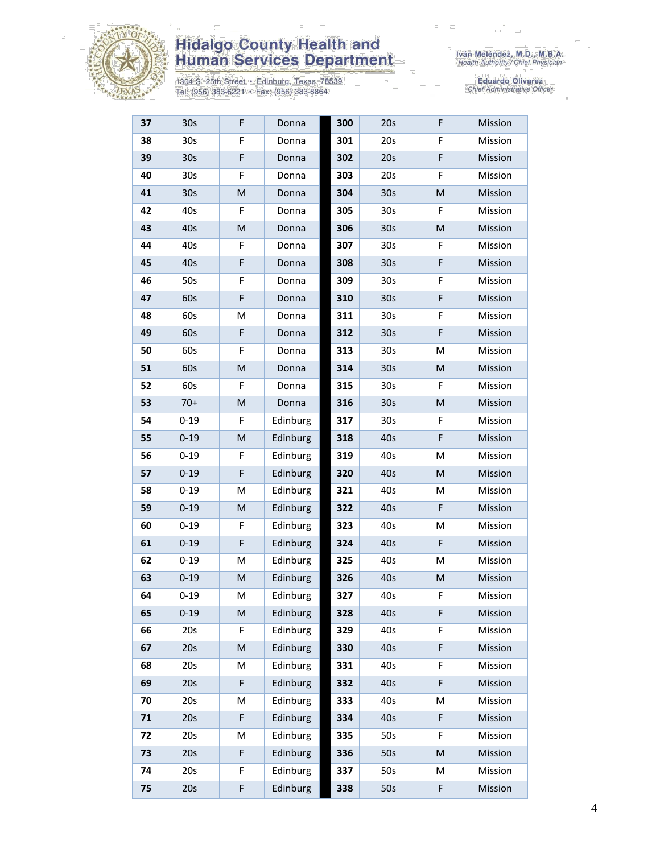

1304 S. 25th Street • Edinburg, Texas 78539<br>Tel: (956) 383-6221 • Fax: (956) 383-8864

| 37 | 30 <sub>s</sub> | F | Donna    | 300 | 20s             | F | Mission |
|----|-----------------|---|----------|-----|-----------------|---|---------|
| 38 | 30 <sub>s</sub> | F | Donna    | 301 | 20s             | F | Mission |
| 39 | 30 <sub>s</sub> | F | Donna    | 302 | 20s             | F | Mission |
| 40 | 30s             | F | Donna    | 303 | 20s             | F | Mission |
| 41 | 30 <sub>s</sub> | M | Donna    | 304 | 30 <sub>s</sub> | M | Mission |
| 42 | 40s             | F | Donna    | 305 | 30 <sub>s</sub> | F | Mission |
| 43 | 40s             | M | Donna    | 306 | 30 <sub>s</sub> | M | Mission |
| 44 | 40s             | F | Donna    | 307 | 30s             | F | Mission |
| 45 | 40s             | F | Donna    | 308 | 30 <sub>s</sub> | F | Mission |
| 46 | 50s             | F | Donna    | 309 | 30s             | F | Mission |
| 47 | 60s             | F | Donna    | 310 | 30 <sub>s</sub> | F | Mission |
| 48 | 60s             | M | Donna    | 311 | 30s             | F | Mission |
| 49 | 60s             | F | Donna    | 312 | 30 <sub>s</sub> | F | Mission |
| 50 | 60s             | F | Donna    | 313 | 30s             | M | Mission |
| 51 | 60s             | M | Donna    | 314 | 30s             | M | Mission |
| 52 | 60s             | F | Donna    | 315 | 30s             | F | Mission |
| 53 | $70+$           | M | Donna    | 316 | 30 <sub>s</sub> | M | Mission |
| 54 | $0 - 19$        | F | Edinburg | 317 | 30 <sub>s</sub> | F | Mission |
| 55 | $0 - 19$        | M | Edinburg | 318 | 40s             | F | Mission |
| 56 | $0 - 19$        | F | Edinburg | 319 | 40s             | M | Mission |
| 57 | $0 - 19$        | F | Edinburg | 320 | 40s             | M | Mission |
| 58 | $0 - 19$        | Μ | Edinburg | 321 | 40s             | м | Mission |
| 59 | $0 - 19$        | M | Edinburg | 322 | 40s             | F | Mission |
| 60 | $0 - 19$        | F | Edinburg | 323 | 40s             | M | Mission |
| 61 | $0 - 19$        | F | Edinburg | 324 | 40s             | F | Mission |
| 62 | $0 - 19$        | M | Edinburg | 325 | 40s             | M | Mission |
| 63 | $0 - 19$        | M | Edinburg | 326 | 40s             | M | Mission |
| 64 | $0 - 19$        | M | Edinburg | 327 | 40s             | F | Mission |
| 65 | $0 - 19$        | M | Edinburg | 328 | 40s             | F | Mission |
| 66 | 20s             | F | Edinburg | 329 | 40s             | F | Mission |
| 67 | 20s             | M | Edinburg | 330 | 40s             | F | Mission |
| 68 | 20s             | M | Edinburg | 331 | 40s             | F | Mission |
| 69 | 20s             | F | Edinburg | 332 | 40s             | F | Mission |
| 70 | 20s             | M | Edinburg | 333 | 40s             | M | Mission |
| 71 | 20s             | F | Edinburg | 334 | 40s             | F | Mission |
| 72 | 20s             | M | Edinburg | 335 | 50s             | F | Mission |
| 73 | 20s             | F | Edinburg | 336 | 50s             | M | Mission |
| 74 | 20s             | F | Edinburg | 337 | 50s             | M | Mission |
| 75 | 20s             | F | Edinburg | 338 | 50s             | F | Mission |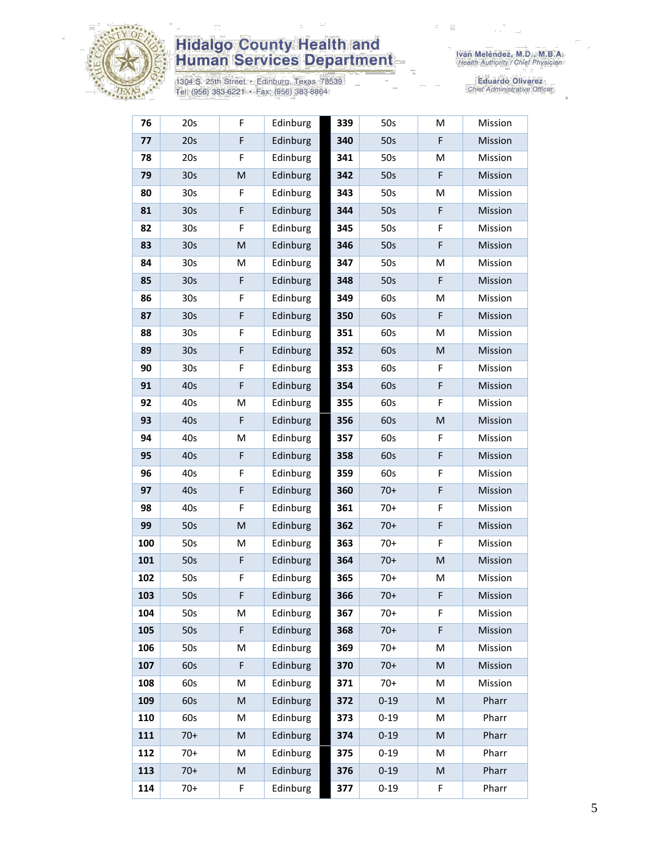

1304 S. 25th Street • Edinburg, Texas 78539<br>Tel: (956) 383-6221 • Fax: (956) 383-8864

| 76  | 20s             | F           | Edinburg | 339 | 50s      | M | Mission |
|-----|-----------------|-------------|----------|-----|----------|---|---------|
| 77  | 20s             | F           | Edinburg | 340 | 50s      | F | Mission |
| 78  | 20s             | F           | Edinburg | 341 | 50s      | M | Mission |
| 79  | 30 <sub>s</sub> | M           | Edinburg | 342 | 50s      | F | Mission |
| 80  | 30 <sub>s</sub> | F           | Edinburg | 343 | 50s      | M | Mission |
| 81  | 30 <sub>s</sub> | $\mathsf F$ | Edinburg | 344 | 50s      | F | Mission |
| 82  | 30 <sub>s</sub> | $\mathsf F$ | Edinburg | 345 | 50s      | F | Mission |
| 83  | 30 <sub>s</sub> | ${\sf M}$   | Edinburg | 346 | 50s      | F | Mission |
| 84  | 30 <sub>s</sub> | M           | Edinburg | 347 | 50s      | M | Mission |
| 85  | 30 <sub>s</sub> | F           | Edinburg | 348 | 50s      | F | Mission |
| 86  | 30 <sub>s</sub> | F           | Edinburg | 349 | 60s      | М | Mission |
| 87  | 30 <sub>s</sub> | $\mathsf F$ | Edinburg | 350 | 60s      | F | Mission |
| 88  | 30 <sub>s</sub> | F           | Edinburg | 351 | 60s      | M | Mission |
| 89  | 30 <sub>s</sub> | F           | Edinburg | 352 | 60s      | M | Mission |
| 90  | 30 <sub>s</sub> | F           | Edinburg | 353 | 60s      | F | Mission |
| 91  | 40s             | $\mathsf F$ | Edinburg | 354 | 60s      | F | Mission |
| 92  | 40s             | M           | Edinburg | 355 | 60s      | F | Mission |
| 93  | 40s             | F           | Edinburg | 356 | 60s      | M | Mission |
| 94  | 40s             | M           | Edinburg | 357 | 60s      | F | Mission |
| 95  | 40s             | F           | Edinburg | 358 | 60s      | F | Mission |
| 96  | 40s             | F           | Edinburg | 359 | 60s      | F | Mission |
| 97  | 40s             | F           | Edinburg | 360 | $70+$    | F | Mission |
| 98  | 40s             | F           | Edinburg | 361 | $70+$    | F | Mission |
| 99  | 50s             | ${\sf M}$   | Edinburg | 362 | $70+$    | F | Mission |
| 100 | 50s             | M           | Edinburg | 363 | $70+$    | F | Mission |
| 101 | 50s             | $\mathsf F$ | Edinburg | 364 | $70+$    | M | Mission |
| 102 | 50s             | F           | Edinburg | 365 | $70+$    | M | Mission |
| 103 | 50s             | F           | Edinburg | 366 | $70+$    | F | Mission |
| 104 | 50s             | M           | Edinburg | 367 | $70+$    | F | Mission |
| 105 | 50s             | F           | Edinburg | 368 | $70+$    | F | Mission |
| 106 | 50s             | M           | Edinburg | 369 | $70+$    | M | Mission |
| 107 | 60s             | F           | Edinburg | 370 | $70+$    | M | Mission |
| 108 | 60s             | M           | Edinburg | 371 | $70+$    | M | Mission |
| 109 | 60s             | M           | Edinburg | 372 | $0 - 19$ | M | Pharr   |
| 110 | 60s             | M           | Edinburg | 373 | $0 - 19$ | M | Pharr   |
| 111 | $70+$           | ${\sf M}$   | Edinburg | 374 | $0 - 19$ | M | Pharr   |
| 112 | $70+$           | M           | Edinburg | 375 | $0 - 19$ | M | Pharr   |
| 113 | $70+$           | ${\sf M}$   | Edinburg | 376 | $0 - 19$ | M | Pharr   |
| 114 | $70+$           | F           | Edinburg | 377 | $0 - 19$ | F | Pharr   |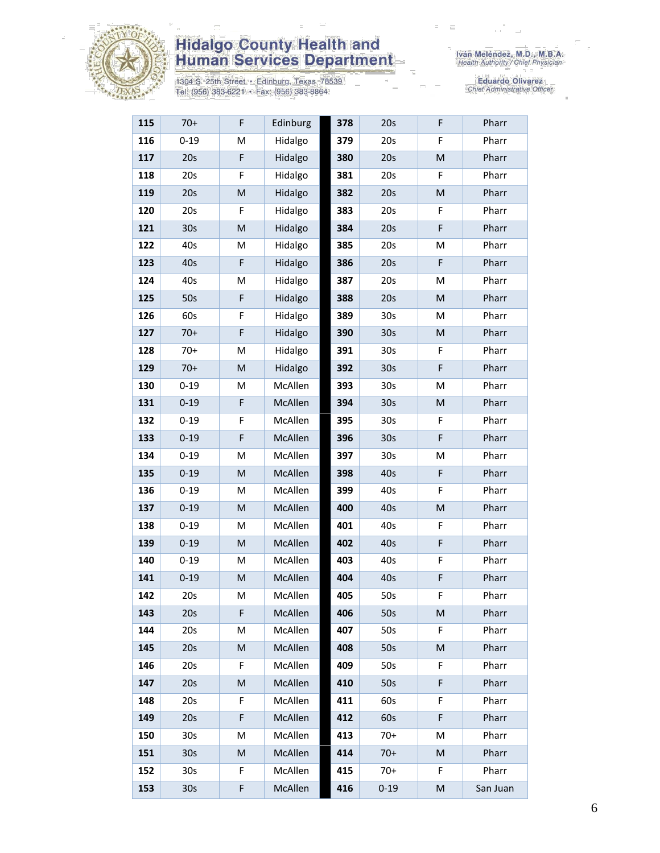

1304 S. 25th Street • Edinburg, Texas 78539<br>Tel: (956) 383-6221 • Fax: (956) 383-8864

| 115 | $70+$           | F         | Edinburg | 378 | 20s             | F         | Pharr    |
|-----|-----------------|-----------|----------|-----|-----------------|-----------|----------|
| 116 | $0 - 19$        | M         | Hidalgo  | 379 | 20s             | F         | Pharr    |
| 117 | 20s             | F         | Hidalgo  | 380 | 20s             | ${\sf M}$ | Pharr    |
| 118 | 20s             | F         | Hidalgo  | 381 | 20s             | F         | Pharr    |
| 119 | 20s             | ${\sf M}$ | Hidalgo  | 382 | 20s             | M         | Pharr    |
| 120 | 20s             | F         | Hidalgo  | 383 | 20s             | F         | Pharr    |
| 121 | 30s             | M         | Hidalgo  | 384 | 20s             | F         | Pharr    |
| 122 | 40s             | M         | Hidalgo  | 385 | 20s             | M         | Pharr    |
| 123 | 40s             | F         | Hidalgo  | 386 | 20s             | F         | Pharr    |
| 124 | 40s             | M         | Hidalgo  | 387 | 20s             | M         | Pharr    |
| 125 | 50s             | F         | Hidalgo  | 388 | 20s             | M         | Pharr    |
| 126 | 60s             | F         | Hidalgo  | 389 | 30 <sub>s</sub> | M         | Pharr    |
| 127 | $70+$           | F         | Hidalgo  | 390 | 30 <sub>s</sub> | M         | Pharr    |
| 128 | $70+$           | M         | Hidalgo  | 391 | 30 <sub>s</sub> | F         | Pharr    |
| 129 | $70+$           | M         | Hidalgo  | 392 | 30 <sub>s</sub> | F         | Pharr    |
| 130 | $0 - 19$        | M         | McAllen  | 393 | 30 <sub>s</sub> | M         | Pharr    |
| 131 | $0 - 19$        | F         | McAllen  | 394 | 30 <sub>s</sub> | ${\sf M}$ | Pharr    |
| 132 | $0 - 19$        | F         | McAllen  | 395 | 30 <sub>s</sub> | F         | Pharr    |
| 133 | $0 - 19$        | F         | McAllen  | 396 | 30 <sub>s</sub> | F         | Pharr    |
| 134 | $0 - 19$        | M         | McAllen  | 397 | 30 <sub>s</sub> | M         | Pharr    |
| 135 | $0 - 19$        | M         | McAllen  | 398 | 40s             | F         | Pharr    |
| 136 | $0 - 19$        | M         | McAllen  | 399 | 40s             | F         | Pharr    |
| 137 | $0 - 19$        | M         | McAllen  | 400 | 40s             | M         | Pharr    |
| 138 | $0 - 19$        | M         | McAllen  | 401 | 40s             | F         | Pharr    |
| 139 | $0 - 19$        | M         | McAllen  | 402 | 40s             | F         | Pharr    |
| 140 | $0 - 19$        | M         | McAllen  | 403 | 40s             | F         | Pharr    |
| 141 | $0 - 19$        | M         | McAllen  | 404 | 40s             | F         | Pharr    |
| 142 | 20s             | M         | McAllen  | 405 | 50s             | F         | Pharr    |
| 143 | 20s             | F         | McAllen  | 406 | 50s             | M         | Pharr    |
| 144 | 20s             | M         | McAllen  | 407 | 50s             | F.        | Pharr    |
| 145 | 20s             | M         | McAllen  | 408 | 50s             | M         | Pharr    |
| 146 | 20s             | F         | McAllen  | 409 | 50s             | F         | Pharr    |
| 147 | 20s             | M         | McAllen  | 410 | 50s             | F         | Pharr    |
| 148 | 20s             | F         | McAllen  | 411 | 60s             | F         | Pharr    |
| 149 | 20s             | F         | McAllen  | 412 | 60s             | F         | Pharr    |
| 150 | 30s             | M         | McAllen  | 413 | $70+$           | M         | Pharr    |
| 151 | 30 <sub>s</sub> | M         | McAllen  | 414 | $70+$           | M         | Pharr    |
| 152 | 30 <sub>s</sub> | F         | McAllen  | 415 | $70+$           | F         | Pharr    |
| 153 | 30 <sub>s</sub> | F         | McAllen  | 416 | $0 - 19$        | M         | San Juan |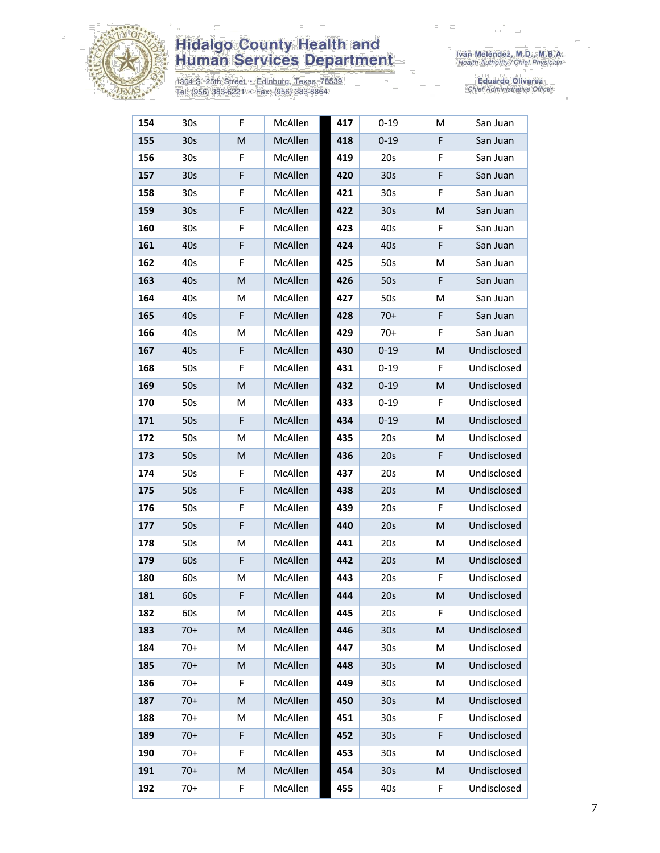

1304 S. 25th Street • Edinburg, Texas 78539<br>Tel: (956) 383-6221 • Fax: (956) 383-8864

| 154 | 30 <sub>s</sub> | F           | McAllen | 417 | $0 - 19$        | M | San Juan    |
|-----|-----------------|-------------|---------|-----|-----------------|---|-------------|
| 155 | 30 <sub>s</sub> | M           | McAllen | 418 | $0 - 19$        | F | San Juan    |
| 156 | 30s             | F           | McAllen | 419 | 20s             | F | San Juan    |
| 157 | 30 <sub>s</sub> | F           | McAllen | 420 | 30 <sub>s</sub> | F | San Juan    |
| 158 | 30 <sub>s</sub> | F           | McAllen | 421 | 30 <sub>s</sub> | F | San Juan    |
| 159 | 30 <sub>s</sub> | $\mathsf F$ | McAllen | 422 | 30 <sub>s</sub> | M | San Juan    |
| 160 | 30 <sub>s</sub> | F           | McAllen | 423 | 40s             | F | San Juan    |
| 161 | 40s             | F           | McAllen | 424 | 40s             | F | San Juan    |
| 162 | 40s             | F           | McAllen | 425 | 50s             | M | San Juan    |
| 163 | 40s             | M           | McAllen | 426 | 50s             | F | San Juan    |
| 164 | 40s             | М           | McAllen | 427 | 50s             | M | San Juan    |
| 165 | 40s             | F           | McAllen | 428 | $70+$           | F | San Juan    |
| 166 | 40s             | Μ           | McAllen | 429 | $70+$           | F | San Juan    |
| 167 | 40s             | F           | McAllen | 430 | $0 - 19$        | M | Undisclosed |
| 168 | 50s             | F           | McAllen | 431 | $0 - 19$        | F | Undisclosed |
| 169 | 50s             | M           | McAllen | 432 | $0 - 19$        | M | Undisclosed |
| 170 | 50s             | M           | McAllen | 433 | $0 - 19$        | F | Undisclosed |
| 171 | 50s             | F           | McAllen | 434 | $0 - 19$        | M | Undisclosed |
| 172 | 50s             | M           | McAllen | 435 | 20s             | M | Undisclosed |
| 173 | 50s             | M           | McAllen | 436 | 20s             | F | Undisclosed |
| 174 | 50s             | F           | McAllen | 437 | 20s             | M | Undisclosed |
| 175 | 50s             | F           | McAllen | 438 | 20s             | M | Undisclosed |
| 176 | 50s             | F           | McAllen | 439 | 20s             | F | Undisclosed |
| 177 | 50s             | F           | McAllen | 440 | 20s             | M | Undisclosed |
| 178 | 50s             | M           | McAllen | 441 | 20s             | M | Undisclosed |
| 179 | 60s             | F           | McAllen | 442 | 20s             | M | Undisclosed |
| 180 | 60s             | M           | McAllen | 443 | 20s             | F | Undisclosed |
| 181 | 60s             | F           | McAllen | 444 | 20s             | M | Undisclosed |
| 182 | 60s             | M           | McAllen | 445 | 20s             | F | Undisclosed |
| 183 | $70+$           | M           | McAllen | 446 | 30s             | M | Undisclosed |
| 184 | $70+$           | М           | McAllen | 447 | 30 <sub>s</sub> | M | Undisclosed |
| 185 | $70+$           | M           | McAllen | 448 | 30 <sub>s</sub> | M | Undisclosed |
| 186 | $70+$           | F           | McAllen | 449 | 30s             | M | Undisclosed |
| 187 | $70+$           | M           | McAllen | 450 | 30 <sub>s</sub> | M | Undisclosed |
| 188 | $70+$           | M           | McAllen | 451 | 30 <sub>s</sub> | F | Undisclosed |
| 189 | $70+$           | $\mathsf F$ | McAllen | 452 | 30 <sub>s</sub> | F | Undisclosed |
| 190 | $70+$           | F           | McAllen | 453 | 30 <sub>s</sub> | M | Undisclosed |
| 191 | $70+$           | M           | McAllen | 454 | 30 <sub>s</sub> | M | Undisclosed |
| 192 | $70+$           | F           | McAllen | 455 | 40s             | F | Undisclosed |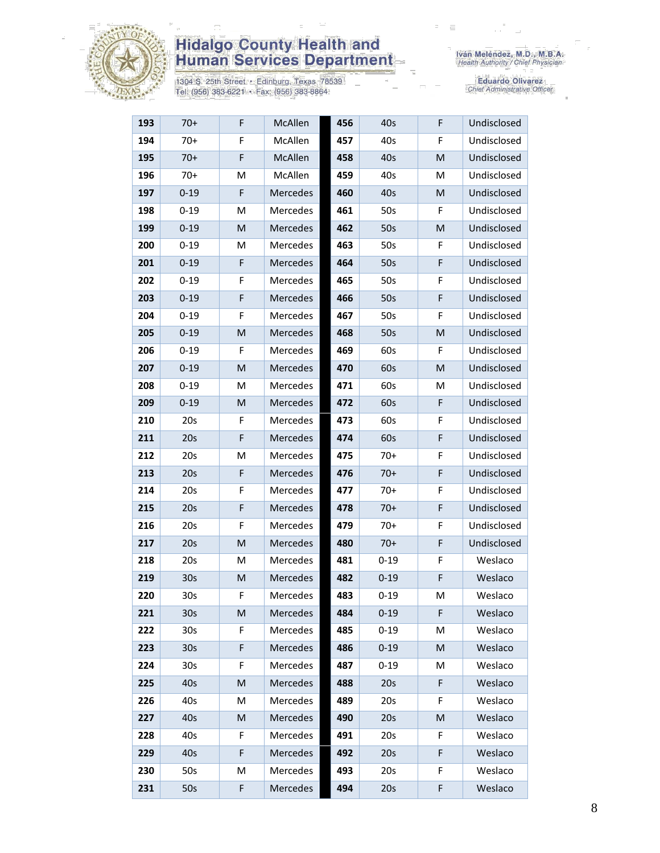

1304 S. 25th Street • Edinburg, Texas 78539<br>Tel: (956) 383-6221 • Fax: (956) 383-8864

| 193 | $70+$           | F           | McAllen         | 456 | 40s      | F | Undisclosed |
|-----|-----------------|-------------|-----------------|-----|----------|---|-------------|
| 194 | $70+$           | F           | McAllen         | 457 | 40s      | F | Undisclosed |
| 195 | $70+$           | $\mathsf F$ | McAllen         | 458 | 40s      | M | Undisclosed |
| 196 | $70+$           | M           | McAllen         | 459 | 40s      | M | Undisclosed |
| 197 | $0 - 19$        | F           | Mercedes        | 460 | 40s      | M | Undisclosed |
| 198 | $0 - 19$        | M           | <b>Mercedes</b> | 461 | 50s      | F | Undisclosed |
| 199 | $0 - 19$        | M           | <b>Mercedes</b> | 462 | 50s      | M | Undisclosed |
| 200 | $0 - 19$        | M           | Mercedes        | 463 | 50s      | F | Undisclosed |
| 201 | $0 - 19$        | $\mathsf F$ | Mercedes        | 464 | 50s      | F | Undisclosed |
| 202 | $0 - 19$        | F           | Mercedes        | 465 | 50s      | F | Undisclosed |
| 203 | $0 - 19$        | $\mathsf F$ | Mercedes        | 466 | 50s      | F | Undisclosed |
| 204 | $0 - 19$        | F           | Mercedes        | 467 | 50s      | F | Undisclosed |
| 205 | $0 - 19$        | M           | Mercedes        | 468 | 50s      | M | Undisclosed |
| 206 | $0 - 19$        | F           | Mercedes        | 469 | 60s      | F | Undisclosed |
| 207 | $0 - 19$        | ${\sf M}$   | Mercedes        | 470 | 60s      | M | Undisclosed |
| 208 | $0 - 19$        | M           | Mercedes        | 471 | 60s      | M | Undisclosed |
| 209 | $0 - 19$        | M           | Mercedes        | 472 | 60s      | F | Undisclosed |
| 210 | 20s             | F           | Mercedes        | 473 | 60s      | F | Undisclosed |
| 211 | 20s             | F           | Mercedes        | 474 | 60s      | F | Undisclosed |
| 212 | 20s             | M           | Mercedes        | 475 | $70+$    | F | Undisclosed |
| 213 | 20s             | F           | Mercedes        | 476 | $70+$    | F | Undisclosed |
| 214 | 20s             | F           | Mercedes        | 477 | $70+$    | F | Undisclosed |
| 215 | 20s             | $\mathsf F$ | Mercedes        | 478 | $70+$    | F | Undisclosed |
| 216 | 20s             | F           | Mercedes        | 479 | $70+$    | F | Undisclosed |
| 217 | 20s             | ${\sf M}$   | Mercedes        | 480 | $70+$    | F | Undisclosed |
| 218 | 20s             | M           | Mercedes        | 481 | $0 - 19$ | F | Weslaco     |
| 219 | 30 <sub>s</sub> | M           | Mercedes        | 482 | $0 - 19$ | F | Weslaco     |
| 220 | 30 <sub>s</sub> | F           | Mercedes        | 483 | $0 - 19$ | M | Weslaco     |
| 221 | 30 <sub>s</sub> | M           | Mercedes        | 484 | $0 - 19$ | F | Weslaco     |
| 222 | 30 <sub>s</sub> | F           | Mercedes        | 485 | $0 - 19$ | M | Weslaco     |
| 223 | 30 <sub>s</sub> | F           | Mercedes        | 486 | $0 - 19$ | M | Weslaco     |
| 224 | 30 <sub>s</sub> | F           | Mercedes        | 487 | $0 - 19$ | M | Weslaco     |
| 225 | 40s             | ${\sf M}$   | Mercedes        | 488 | 20s      | F | Weslaco     |
| 226 | 40s             | M           | Mercedes        | 489 | 20s      | F | Weslaco     |
| 227 | 40s             | M           | Mercedes        | 490 | 20s      | M | Weslaco     |
| 228 | 40s             | F           | Mercedes        | 491 | 20s      | F | Weslaco     |
| 229 | 40s             | F           | Mercedes        | 492 | 20s      | F | Weslaco     |
| 230 | 50s             | M           | Mercedes        | 493 | 20s      | F | Weslaco     |
| 231 | 50s             | F           | Mercedes        | 494 | 20s      | F | Weslaco     |